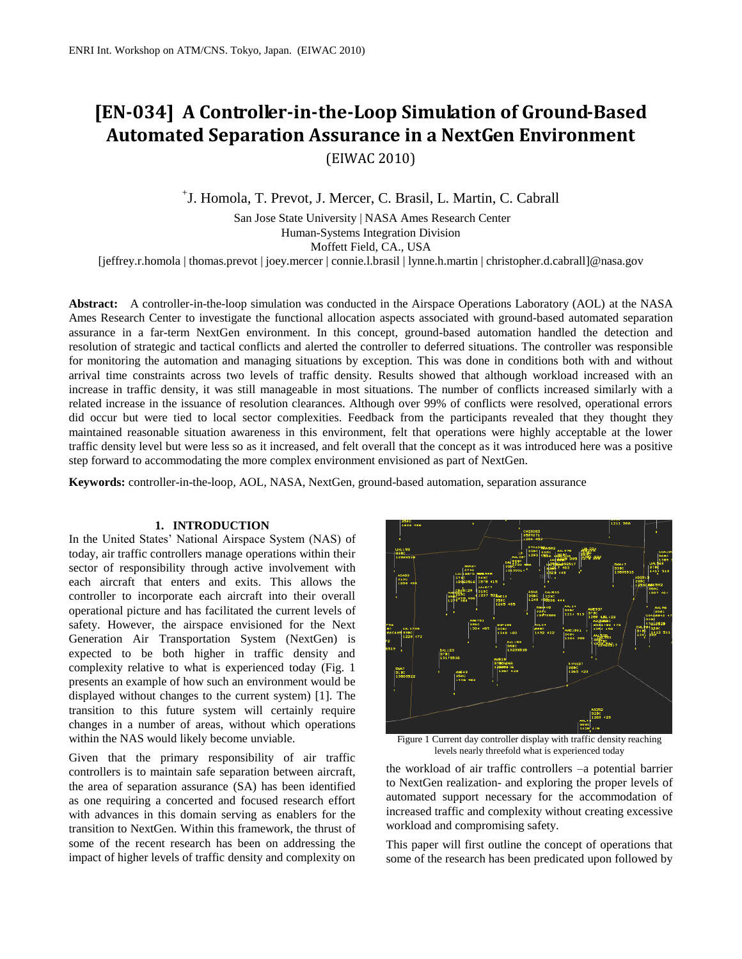# **[EN-034] A Controller-in-the-Loop Simulation of Ground-Based Automated Separation Assurance in a NextGen Environment** (EIWAC 2010)

+ J. Homola*,* T. Prevot*,* J. Mercer, C. Brasil, L. Martin, C. Cabrall

San Jose State University | NASA Ames Research Center Human-Systems Integration Division Moffett Field, CA., USA

[jeffrey.r.homola | thomas.prevot | joey.mercer | connie.l.brasil | lynne.h.martin | christopher.d.cabrall]@nasa.gov

**Abstract:** A controller-in-the-loop simulation was conducted in the Airspace Operations Laboratory (AOL) at the NASA Ames Research Center to investigate the functional allocation aspects associated with ground-based automated separation assurance in a far-term NextGen environment. In this concept, ground-based automation handled the detection and resolution of strategic and tactical conflicts and alerted the controller to deferred situations. The controller was responsible for monitoring the automation and managing situations by exception. This was done in conditions both with and without arrival time constraints across two levels of traffic density. Results showed that although workload increased with an increase in traffic density, it was still manageable in most situations. The number of conflicts increased similarly with a related increase in the issuance of resolution clearances. Although over 99% of conflicts were resolved, operational errors did occur but were tied to local sector complexities. Feedback from the participants revealed that they thought they maintained reasonable situation awareness in this environment, felt that operations were highly acceptable at the lower traffic density level but were less so as it increased, and felt overall that the concept as it was introduced here was a positive step forward to accommodating the more complex environment envisioned as part of NextGen.

**Keywords:** controller-in-the-loop, AOL, NASA, NextGen, ground-based automation, separation assurance

# **1. INTRODUCTION**

In the United States' National Airspace System (NAS) of today, air traffic controllers manage operations within their sector of responsibility through active involvement with each aircraft that enters and exits. This allows the controller to incorporate each aircraft into their overall operational picture and has facilitated the current levels of safety. However, the airspace envisioned for the Next Generation Air Transportation System (NextGen) is expected to be both higher in traffic density and complexity relative to what is experienced today (Fig. 1 presents an example of how such an environment would be displayed without changes to the current system) [1]. The transition to this future system will certainly require changes in a number of areas, without which operations within the NAS would likely become unviable.

Given that the primary responsibility of air traffic controllers is to maintain safe separation between aircraft, the area of separation assurance (SA) has been identified as one requiring a concerted and focused research effort with advances in this domain serving as enablers for the transition to NextGen. Within this framework, the thrust of some of the recent research has been on addressing the impact of higher levels of traffic density and complexity on



Figure 1 Current day controller display with traffic density reaching levels nearly threefold what is experienced today

the workload of air traffic controllers –a potential barrier to NextGen realization- and exploring the proper levels of automated support necessary for the accommodation of increased traffic and complexity without creating excessive workload and compromising safety.

This paper will first outline the concept of operations that some of the research has been predicated upon followed by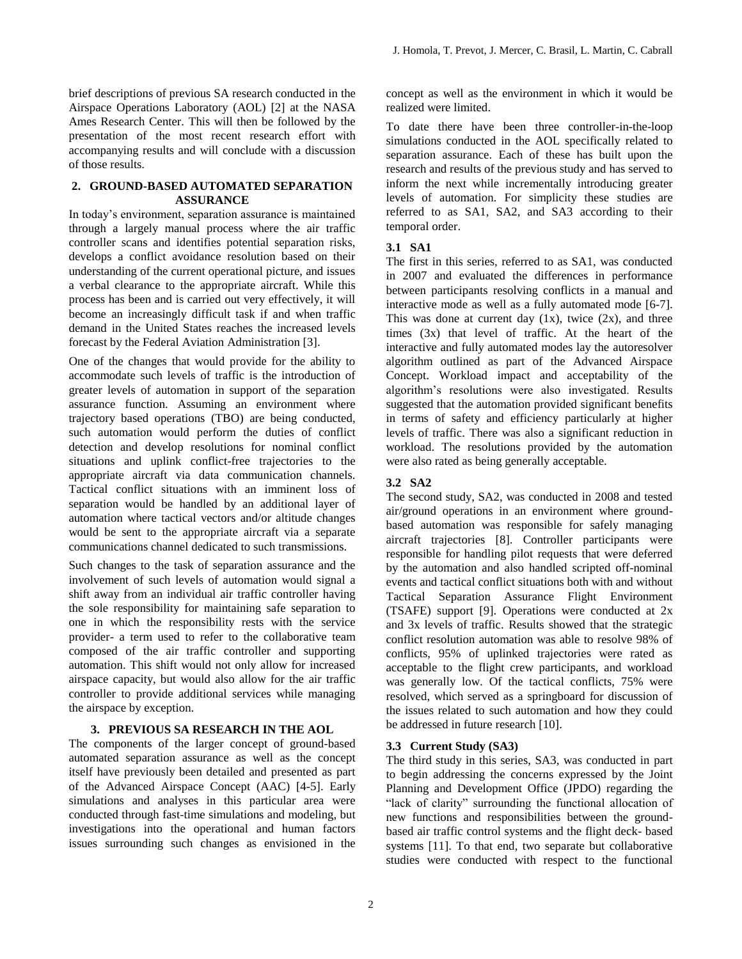brief descriptions of previous SA research conducted in the Airspace Operations Laboratory (AOL) [2] at the NASA Ames Research Center. This will then be followed by the presentation of the most recent research effort with accompanying results and will conclude with a discussion of those results.

# **2. GROUND-BASED AUTOMATED SEPARATION ASSURANCE**

In today's environment, separation assurance is maintained through a largely manual process where the air traffic controller scans and identifies potential separation risks, develops a conflict avoidance resolution based on their understanding of the current operational picture, and issues a verbal clearance to the appropriate aircraft. While this process has been and is carried out very effectively, it will become an increasingly difficult task if and when traffic demand in the United States reaches the increased levels forecast by the Federal Aviation Administration [3].

One of the changes that would provide for the ability to accommodate such levels of traffic is the introduction of greater levels of automation in support of the separation assurance function. Assuming an environment where trajectory based operations (TBO) are being conducted, such automation would perform the duties of conflict detection and develop resolutions for nominal conflict situations and uplink conflict-free trajectories to the appropriate aircraft via data communication channels. Tactical conflict situations with an imminent loss of separation would be handled by an additional layer of automation where tactical vectors and/or altitude changes would be sent to the appropriate aircraft via a separate communications channel dedicated to such transmissions.

Such changes to the task of separation assurance and the involvement of such levels of automation would signal a shift away from an individual air traffic controller having the sole responsibility for maintaining safe separation to one in which the responsibility rests with the service provider- a term used to refer to the collaborative team composed of the air traffic controller and supporting automation. This shift would not only allow for increased airspace capacity, but would also allow for the air traffic controller to provide additional services while managing the airspace by exception.

# **3. PREVIOUS SA RESEARCH IN THE AOL**

The components of the larger concept of ground-based automated separation assurance as well as the concept itself have previously been detailed and presented as part of the Advanced Airspace Concept (AAC) [4-5]. Early simulations and analyses in this particular area were conducted through fast-time simulations and modeling, but investigations into the operational and human factors issues surrounding such changes as envisioned in the

concept as well as the environment in which it would be realized were limited.

To date there have been three controller-in-the-loop simulations conducted in the AOL specifically related to separation assurance. Each of these has built upon the research and results of the previous study and has served to inform the next while incrementally introducing greater levels of automation. For simplicity these studies are referred to as SA1, SA2, and SA3 according to their temporal order.

# **3.1 SA1**

The first in this series, referred to as SA1, was conducted in 2007 and evaluated the differences in performance between participants resolving conflicts in a manual and interactive mode as well as a fully automated mode [6-7]. This was done at current day  $(1x)$ , twice  $(2x)$ , and three times (3x) that level of traffic. At the heart of the interactive and fully automated modes lay the autoresolver algorithm outlined as part of the Advanced Airspace Concept. Workload impact and acceptability of the algorithm's resolutions were also investigated. Results suggested that the automation provided significant benefits in terms of safety and efficiency particularly at higher levels of traffic. There was also a significant reduction in workload. The resolutions provided by the automation were also rated as being generally acceptable.

# **3.2 SA2**

The second study, SA2, was conducted in 2008 and tested air/ground operations in an environment where groundbased automation was responsible for safely managing aircraft trajectories [8]. Controller participants were responsible for handling pilot requests that were deferred by the automation and also handled scripted off-nominal events and tactical conflict situations both with and without Tactical Separation Assurance Flight Environment (TSAFE) support [9]. Operations were conducted at 2x and 3x levels of traffic. Results showed that the strategic conflict resolution automation was able to resolve 98% of conflicts, 95% of uplinked trajectories were rated as acceptable to the flight crew participants, and workload was generally low. Of the tactical conflicts, 75% were resolved, which served as a springboard for discussion of the issues related to such automation and how they could be addressed in future research [10].

# **3.3 Current Study (SA3)**

The third study in this series, SA3, was conducted in part to begin addressing the concerns expressed by the Joint Planning and Development Office (JPDO) regarding the "lack of clarity" surrounding the functional allocation of new functions and responsibilities between the groundbased air traffic control systems and the flight deck- based systems [11]. To that end, two separate but collaborative studies were conducted with respect to the functional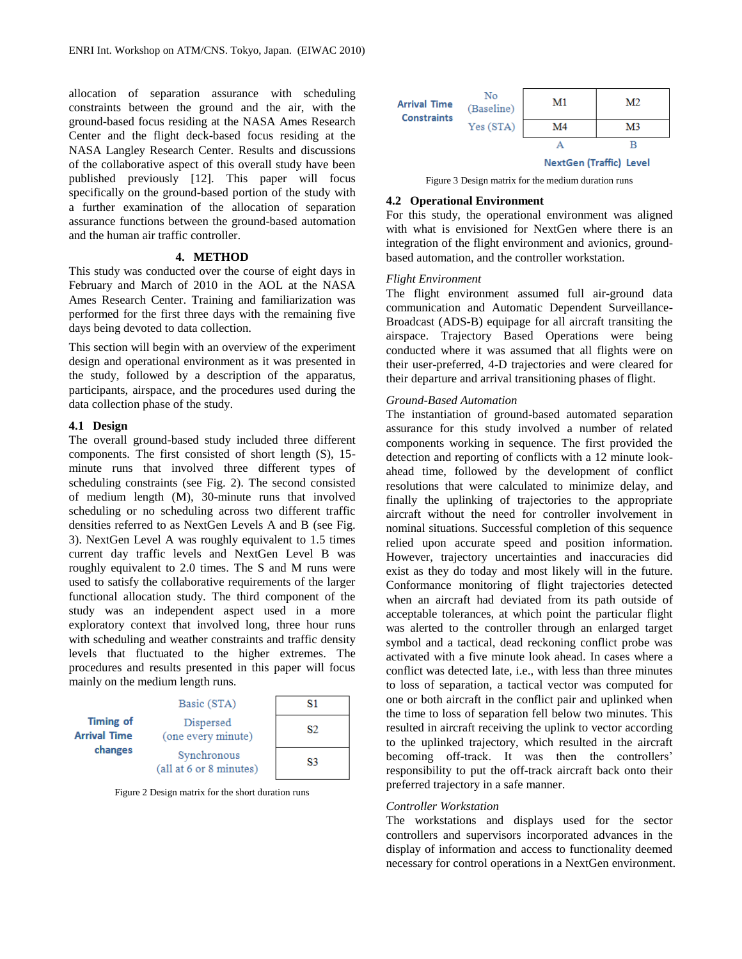allocation of separation assurance with scheduling constraints between the ground and the air, with the ground-based focus residing at the NASA Ames Research Center and the flight deck-based focus residing at the NASA Langley Research Center. Results and discussions of the collaborative aspect of this overall study have been published previously [12]. This paper will focus specifically on the ground-based portion of the study with a further examination of the allocation of separation assurance functions between the ground-based automation and the human air traffic controller.

#### **4. METHOD**

This study was conducted over the course of eight days in February and March of 2010 in the AOL at the NASA Ames Research Center. Training and familiarization was performed for the first three days with the remaining five days being devoted to data collection.

This section will begin with an overview of the experiment design and operational environment as it was presented in the study, followed by a description of the apparatus, participants, airspace, and the procedures used during the data collection phase of the study.

# **4.1 Design**

The overall ground-based study included three different components. The first consisted of short length (S), 15 minute runs that involved three different types of scheduling constraints (see Fig. 2). The second consisted of medium length (M), 30-minute runs that involved scheduling or no scheduling across two different traffic densities referred to as NextGen Levels A and B (see Fig. 3). NextGen Level A was roughly equivalent to 1.5 times current day traffic levels and NextGen Level B was roughly equivalent to 2.0 times. The S and M runs were used to satisfy the collaborative requirements of the larger functional allocation study. The third component of the study was an independent aspect used in a more exploratory context that involved long, three hour runs with scheduling and weather constraints and traffic density levels that fluctuated to the higher extremes. The procedures and results presented in this paper will focus mainly on the medium length runs.

|                                                    | Basic (STA)                            | 81 |
|----------------------------------------------------|----------------------------------------|----|
| <b>Timing of</b><br><b>Arrival Time</b><br>changes | Dispersed<br>(one every minute)        | 82 |
|                                                    | Synchronous<br>(all at 6 or 8 minutes) | S3 |

Figure 2 Design matrix for the short duration runs

| <b>Arrival Time</b><br><b>Constraints</b> | No<br>(Baseline) | M1                             | M2 |
|-------------------------------------------|------------------|--------------------------------|----|
|                                           | Yes (STA)        | M4                             | M3 |
|                                           |                  |                                |    |
|                                           |                  | <b>NextGen (Traffic) Level</b> |    |

Figure 3 Design matrix for the medium duration runs

#### **4.2 Operational Environment**

For this study, the operational environment was aligned with what is envisioned for NextGen where there is an integration of the flight environment and avionics, groundbased automation, and the controller workstation.

#### *Flight Environment*

The flight environment assumed full air-ground data communication and Automatic Dependent Surveillance-Broadcast (ADS-B) equipage for all aircraft transiting the airspace. Trajectory Based Operations were being conducted where it was assumed that all flights were on their user-preferred, 4-D trajectories and were cleared for their departure and arrival transitioning phases of flight.

## *Ground-Based Automation*

The instantiation of ground-based automated separation assurance for this study involved a number of related components working in sequence. The first provided the detection and reporting of conflicts with a 12 minute lookahead time, followed by the development of conflict resolutions that were calculated to minimize delay, and finally the uplinking of trajectories to the appropriate aircraft without the need for controller involvement in nominal situations. Successful completion of this sequence relied upon accurate speed and position information. However, trajectory uncertainties and inaccuracies did exist as they do today and most likely will in the future. Conformance monitoring of flight trajectories detected when an aircraft had deviated from its path outside of acceptable tolerances, at which point the particular flight was alerted to the controller through an enlarged target symbol and a tactical, dead reckoning conflict probe was activated with a five minute look ahead. In cases where a conflict was detected late, i.e., with less than three minutes to loss of separation, a tactical vector was computed for one or both aircraft in the conflict pair and uplinked when the time to loss of separation fell below two minutes. This resulted in aircraft receiving the uplink to vector according to the uplinked trajectory, which resulted in the aircraft becoming off-track. It was then the controllers' responsibility to put the off-track aircraft back onto their preferred trajectory in a safe manner.

#### *Controller Workstation*

The workstations and displays used for the sector controllers and supervisors incorporated advances in the display of information and access to functionality deemed necessary for control operations in a NextGen environment.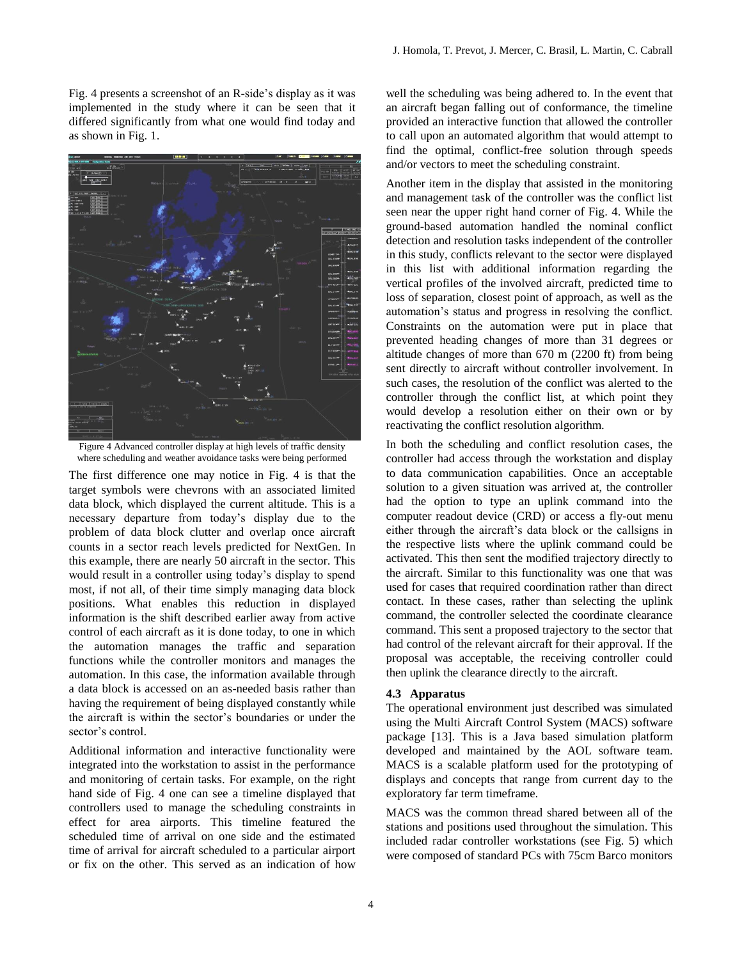Fig. 4 presents a screenshot of an R-side's display as it was implemented in the study where it can be seen that it differed significantly from what one would find today and as shown in Fig. 1.



Figure 4 Advanced controller display at high levels of traffic density where scheduling and weather avoidance tasks were being performed

The first difference one may notice in Fig. 4 is that the target symbols were chevrons with an associated limited data block, which displayed the current altitude. This is a necessary departure from today's display due to the problem of data block clutter and overlap once aircraft counts in a sector reach levels predicted for NextGen. In this example, there are nearly 50 aircraft in the sector. This would result in a controller using today's display to spend most, if not all, of their time simply managing data block positions. What enables this reduction in displayed information is the shift described earlier away from active control of each aircraft as it is done today, to one in which the automation manages the traffic and separation functions while the controller monitors and manages the automation. In this case, the information available through a data block is accessed on an as-needed basis rather than having the requirement of being displayed constantly while the aircraft is within the sector's boundaries or under the sector's control.

Additional information and interactive functionality were integrated into the workstation to assist in the performance and monitoring of certain tasks. For example, on the right hand side of Fig. 4 one can see a timeline displayed that controllers used to manage the scheduling constraints in effect for area airports. This timeline featured the scheduled time of arrival on one side and the estimated time of arrival for aircraft scheduled to a particular airport or fix on the other. This served as an indication of how

well the scheduling was being adhered to. In the event that an aircraft began falling out of conformance, the timeline provided an interactive function that allowed the controller to call upon an automated algorithm that would attempt to find the optimal, conflict-free solution through speeds and/or vectors to meet the scheduling constraint.

Another item in the display that assisted in the monitoring and management task of the controller was the conflict list seen near the upper right hand corner of Fig. 4. While the ground-based automation handled the nominal conflict detection and resolution tasks independent of the controller in this study, conflicts relevant to the sector were displayed in this list with additional information regarding the vertical profiles of the involved aircraft, predicted time to loss of separation, closest point of approach, as well as the automation's status and progress in resolving the conflict. Constraints on the automation were put in place that prevented heading changes of more than 31 degrees or altitude changes of more than 670 m (2200 ft) from being sent directly to aircraft without controller involvement. In such cases, the resolution of the conflict was alerted to the controller through the conflict list, at which point they would develop a resolution either on their own or by reactivating the conflict resolution algorithm.

In both the scheduling and conflict resolution cases, the controller had access through the workstation and display to data communication capabilities. Once an acceptable solution to a given situation was arrived at, the controller had the option to type an uplink command into the computer readout device (CRD) or access a fly-out menu either through the aircraft's data block or the callsigns in the respective lists where the uplink command could be activated. This then sent the modified trajectory directly to the aircraft. Similar to this functionality was one that was used for cases that required coordination rather than direct contact. In these cases, rather than selecting the uplink command, the controller selected the coordinate clearance command. This sent a proposed trajectory to the sector that had control of the relevant aircraft for their approval. If the proposal was acceptable, the receiving controller could then uplink the clearance directly to the aircraft.

#### **4.3 Apparatus**

The operational environment just described was simulated using the Multi Aircraft Control System (MACS) software package [13]. This is a Java based simulation platform developed and maintained by the AOL software team. MACS is a scalable platform used for the prototyping of displays and concepts that range from current day to the exploratory far term timeframe.

MACS was the common thread shared between all of the stations and positions used throughout the simulation. This included radar controller workstations (see Fig. 5) which were composed of standard PCs with 75cm Barco monitors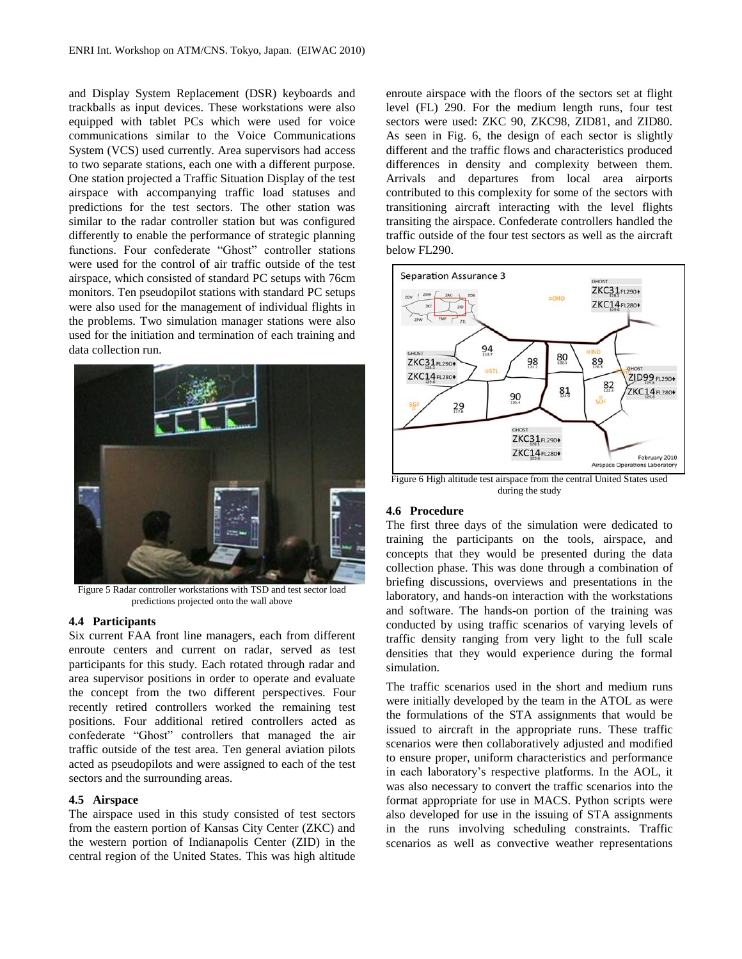and Display System Replacement (DSR) keyboards and trackballs as input devices. These workstations were also equipped with tablet PCs which were used for voice communications similar to the Voice Communications System (VCS) used currently. Area supervisors had access to two separate stations, each one with a different purpose. One station projected a Traffic Situation Display of the test airspace with accompanying traffic load statuses and predictions for the test sectors. The other station was similar to the radar controller station but was configured differently to enable the performance of strategic planning functions. Four confederate "Ghost" controller stations were used for the control of air traffic outside of the test airspace, which consisted of standard PC setups with 76cm monitors. Ten pseudopilot stations with standard PC setups were also used for the management of individual flights in the problems. Two simulation manager stations were also used for the initiation and termination of each training and data collection run.



Figure 5 Radar controller workstations with TSD and test sector load predictions projected onto the wall above

### **4.4 Participants**

Six current FAA front line managers, each from different enroute centers and current on radar, served as test participants for this study. Each rotated through radar and area supervisor positions in order to operate and evaluate the concept from the two different perspectives. Four recently retired controllers worked the remaining test positions. Four additional retired controllers acted as confederate "Ghost" controllers that managed the air traffic outside of the test area. Ten general aviation pilots acted as pseudopilots and were assigned to each of the test sectors and the surrounding areas.

# **4.5 Airspace**

The airspace used in this study consisted of test sectors from the eastern portion of Kansas City Center (ZKC) and the western portion of Indianapolis Center (ZID) in the central region of the United States. This was high altitude

enroute airspace with the floors of the sectors set at flight level (FL) 290. For the medium length runs, four test sectors were used: ZKC 90, ZKC98, ZID81, and ZID80. As seen in Fig. 6, the design of each sector is slightly different and the traffic flows and characteristics produced differences in density and complexity between them. Arrivals and departures from local area airports contributed to this complexity for some of the sectors with transitioning aircraft interacting with the level flights transiting the airspace. Confederate controllers handled the traffic outside of the four test sectors as well as the aircraft below FL290.



Figure 6 High altitude test airspace from the central United States used during the study

## **4.6 Procedure**

The first three days of the simulation were dedicated to training the participants on the tools, airspace, and concepts that they would be presented during the data collection phase. This was done through a combination of briefing discussions, overviews and presentations in the laboratory, and hands-on interaction with the workstations and software. The hands-on portion of the training was conducted by using traffic scenarios of varying levels of traffic density ranging from very light to the full scale densities that they would experience during the formal simulation.

The traffic scenarios used in the short and medium runs were initially developed by the team in the ATOL as were the formulations of the STA assignments that would be issued to aircraft in the appropriate runs. These traffic scenarios were then collaboratively adjusted and modified to ensure proper, uniform characteristics and performance in each laboratory's respective platforms. In the AOL, it was also necessary to convert the traffic scenarios into the format appropriate for use in MACS. Python scripts were also developed for use in the issuing of STA assignments in the runs involving scheduling constraints. Traffic scenarios as well as convective weather representations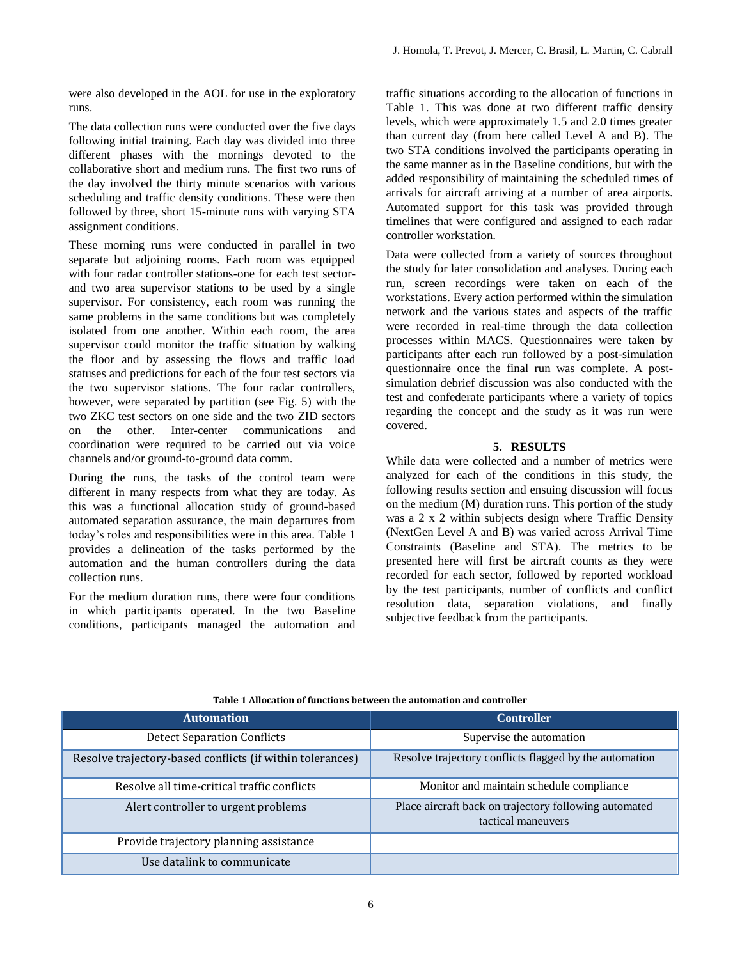were also developed in the AOL for use in the exploratory runs.

The data collection runs were conducted over the five days following initial training. Each day was divided into three different phases with the mornings devoted to the collaborative short and medium runs. The first two runs of the day involved the thirty minute scenarios with various scheduling and traffic density conditions. These were then followed by three, short 15-minute runs with varying STA assignment conditions.

These morning runs were conducted in parallel in two separate but adjoining rooms. Each room was equipped with four radar controller stations-one for each test sectorand two area supervisor stations to be used by a single supervisor. For consistency, each room was running the same problems in the same conditions but was completely isolated from one another. Within each room, the area supervisor could monitor the traffic situation by walking the floor and by assessing the flows and traffic load statuses and predictions for each of the four test sectors via the two supervisor stations. The four radar controllers, however, were separated by partition (see Fig. 5) with the two ZKC test sectors on one side and the two ZID sectors on the other. Inter-center communications and coordination were required to be carried out via voice channels and/or ground-to-ground data comm.

During the runs, the tasks of the control team were different in many respects from what they are today. As this was a functional allocation study of ground-based automated separation assurance, the main departures from today's roles and responsibilities were in this area. Table 1 provides a delineation of the tasks performed by the automation and the human controllers during the data collection runs.

For the medium duration runs, there were four conditions in which participants operated. In the two Baseline conditions, participants managed the automation and traffic situations according to the allocation of functions in Table 1. This was done at two different traffic density levels, which were approximately 1.5 and 2.0 times greater than current day (from here called Level A and B). The two STA conditions involved the participants operating in the same manner as in the Baseline conditions, but with the added responsibility of maintaining the scheduled times of arrivals for aircraft arriving at a number of area airports. Automated support for this task was provided through timelines that were configured and assigned to each radar controller workstation.

Data were collected from a variety of sources throughout the study for later consolidation and analyses. During each run, screen recordings were taken on each of the workstations. Every action performed within the simulation network and the various states and aspects of the traffic were recorded in real-time through the data collection processes within MACS. Questionnaires were taken by participants after each run followed by a post-simulation questionnaire once the final run was complete. A postsimulation debrief discussion was also conducted with the test and confederate participants where a variety of topics regarding the concept and the study as it was run were covered.

# **5. RESULTS**

While data were collected and a number of metrics were analyzed for each of the conditions in this study, the following results section and ensuing discussion will focus on the medium (M) duration runs. This portion of the study was a 2 x 2 within subjects design where Traffic Density (NextGen Level A and B) was varied across Arrival Time Constraints (Baseline and STA). The metrics to be presented here will first be aircraft counts as they were recorded for each sector, followed by reported workload by the test participants, number of conflicts and conflict resolution data, separation violations, and finally subjective feedback from the participants.

| <b>Automation</b>                                         | <b>Controller</b>                                                           |
|-----------------------------------------------------------|-----------------------------------------------------------------------------|
| <b>Detect Separation Conflicts</b>                        | Supervise the automation                                                    |
| Resolve trajectory-based conflicts (if within tolerances) | Resolve trajectory conflicts flagged by the automation                      |
| Resolve all time-critical traffic conflicts               | Monitor and maintain schedule compliance                                    |
| Alert controller to urgent problems                       | Place aircraft back on trajectory following automated<br>tactical maneuvers |
| Provide trajectory planning assistance                    |                                                                             |
| Use datalink to communicate                               |                                                                             |

**Table 1 Allocation of functions between the automation and controller**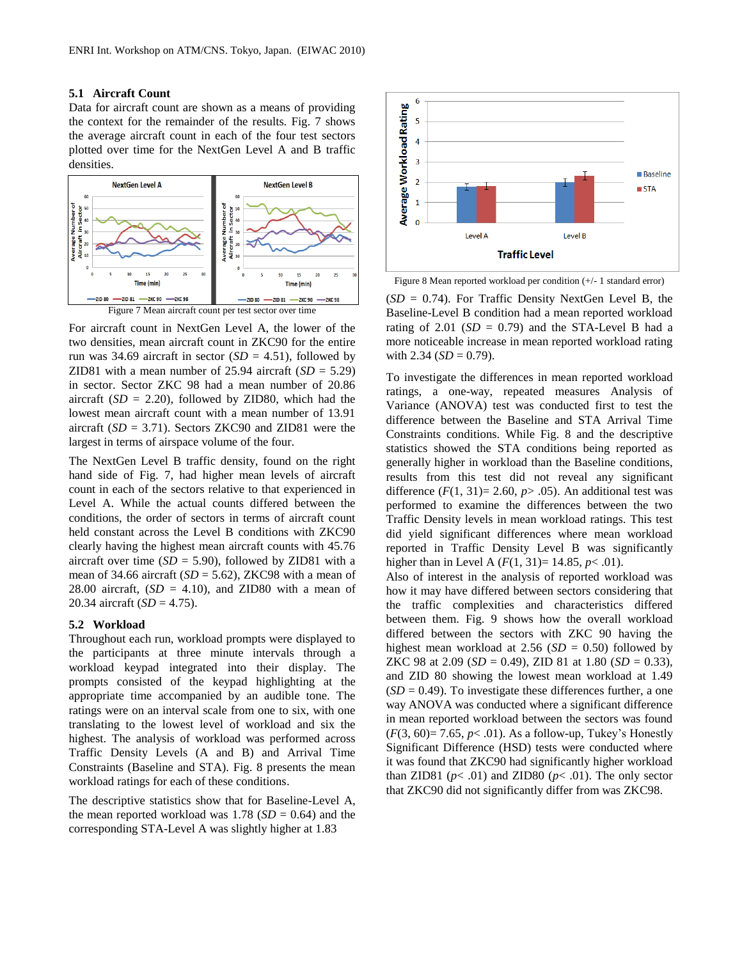## **5.1 Aircraft Count**

Data for aircraft count are shown as a means of providing the context for the remainder of the results. Fig. 7 shows the average aircraft count in each of the four test sectors plotted over time for the NextGen Level A and B traffic densities.





For aircraft count in NextGen Level A, the lower of the two densities, mean aircraft count in ZKC90 for the entire run was 34.69 aircraft in sector  $(SD = 4.51)$ , followed by ZID81 with a mean number of  $25.94$  aircraft  $(SD = 5.29)$ in sector. Sector ZKC 98 had a mean number of 20.86 aircraft  $(SD = 2.20)$ , followed by ZID80, which had the lowest mean aircraft count with a mean number of 13.91 aircraft (*SD* = 3.71). Sectors ZKC90 and ZID81 were the largest in terms of airspace volume of the four.

The NextGen Level B traffic density, found on the right hand side of Fig. 7, had higher mean levels of aircraft count in each of the sectors relative to that experienced in Level A. While the actual counts differed between the conditions, the order of sectors in terms of aircraft count held constant across the Level B conditions with ZKC90 clearly having the highest mean aircraft counts with 45.76 aircraft over time  $(SD = 5.90)$ , followed by ZID81 with a mean of 34.66 aircraft (*SD* = 5.62), ZKC98 with a mean of 28.00 aircraft,  $(SD = 4.10)$ , and ZID80 with a mean of 20.34 aircraft (*SD* = 4.75).

### **5.2 Workload**

Throughout each run, workload prompts were displayed to the participants at three minute intervals through a workload keypad integrated into their display. The prompts consisted of the keypad highlighting at the appropriate time accompanied by an audible tone. The ratings were on an interval scale from one to six, with one translating to the lowest level of workload and six the highest. The analysis of workload was performed across Traffic Density Levels (A and B) and Arrival Time Constraints (Baseline and STA). Fig. 8 presents the mean workload ratings for each of these conditions.

The descriptive statistics show that for Baseline-Level A, the mean reported workload was  $1.78$  (*SD* = 0.64) and the corresponding STA-Level A was slightly higher at 1.83



Figure 8 Mean reported workload per condition (+/- 1 standard error)

(*SD* = 0.74). For Traffic Density NextGen Level B, the Baseline-Level B condition had a mean reported workload rating of 2.01  $(SD = 0.79)$  and the STA-Level B had a more noticeable increase in mean reported workload rating with  $2.34$  ( $SD = 0.79$ ).

To investigate the differences in mean reported workload ratings, a one-way, repeated measures Analysis of Variance (ANOVA) test was conducted first to test the difference between the Baseline and STA Arrival Time Constraints conditions. While Fig. 8 and the descriptive statistics showed the STA conditions being reported as generally higher in workload than the Baseline conditions, results from this test did not reveal any significant difference  $(F(1, 31)= 2.60, p > .05)$ . An additional test was performed to examine the differences between the two Traffic Density levels in mean workload ratings. This test did yield significant differences where mean workload reported in Traffic Density Level B was significantly higher than in Level A  $(F(1, 31)=14.85, p< .01)$ .

Also of interest in the analysis of reported workload was how it may have differed between sectors considering that the traffic complexities and characteristics differed between them. Fig. 9 shows how the overall workload differed between the sectors with ZKC 90 having the highest mean workload at 2.56  $(SD = 0.50)$  followed by ZKC 98 at 2.09 ( $SD = 0.49$ ), ZID 81 at 1.80 ( $SD = 0.33$ ), and ZID 80 showing the lowest mean workload at 1.49  $(SD = 0.49)$ . To investigate these differences further, a one way ANOVA was conducted where a significant difference in mean reported workload between the sectors was found (*F*(3, 60)= 7.65, *p*< .01). As a follow-up, Tukey's Honestly Significant Difference (HSD) tests were conducted where it was found that ZKC90 had significantly higher workload than ZID81 ( $p$ < .01) and ZID80 ( $p$ < .01). The only sector that ZKC90 did not significantly differ from was ZKC98.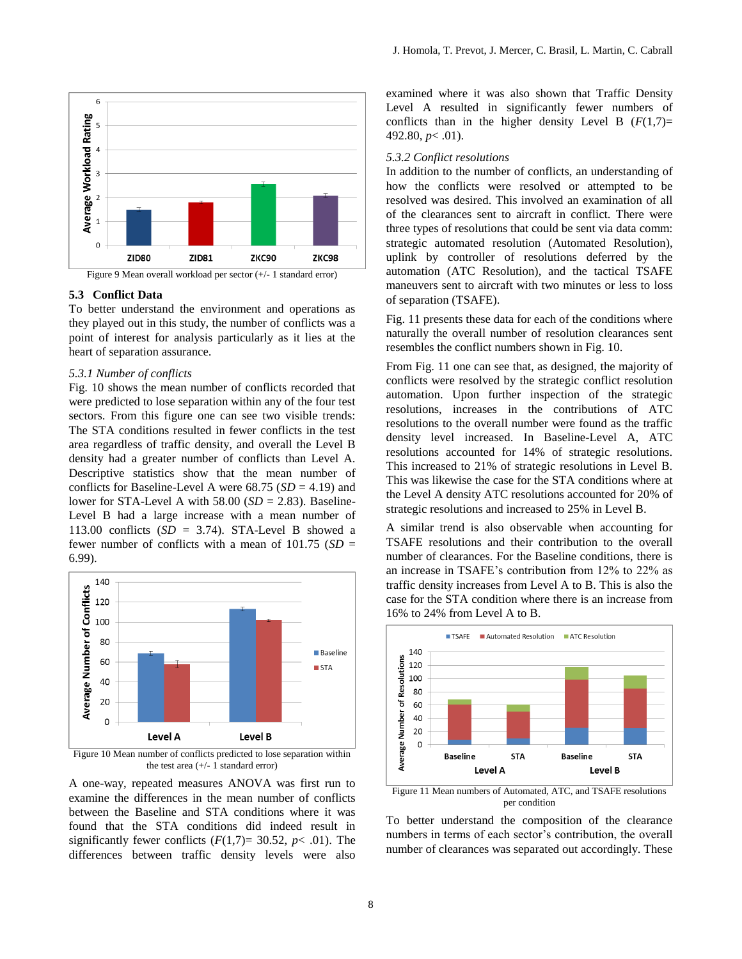



Figure 9 Mean overall workload per sector (+/- 1 standard error)

#### **5.3 Conflict Data**

To better understand the environment and operations as they played out in this study, the number of conflicts was a point of interest for analysis particularly as it lies at the heart of separation assurance.

#### *5.3.1 Number of conflicts*

Fig. 10 shows the mean number of conflicts recorded that were predicted to lose separation within any of the four test sectors. From this figure one can see two visible trends: The STA conditions resulted in fewer conflicts in the test area regardless of traffic density, and overall the Level B density had a greater number of conflicts than Level A. Descriptive statistics show that the mean number of conflicts for Baseline-Level A were  $68.75$  ( $SD = 4.19$ ) and lower for STA-Level A with  $58.00$  (*SD* = 2.83). Baseline-Level B had a large increase with a mean number of 113.00 conflicts  $(SD = 3.74)$ . STA-Level B showed a fewer number of conflicts with a mean of  $101.75$  (*SD* = 6.99).



Figure 10 Mean number of conflicts predicted to lose separation within the test area (+/- 1 standard error)

A one-way, repeated measures ANOVA was first run to examine the differences in the mean number of conflicts between the Baseline and STA conditions where it was found that the STA conditions did indeed result in significantly fewer conflicts  $(F(1,7)=30.52, p<.01)$ . The differences between traffic density levels were also examined where it was also shown that Traffic Density Level A resulted in significantly fewer numbers of conflicts than in the higher density Level B  $(F(1,7))$ = 492.80, *p*< .01).

#### *5.3.2 Conflict resolutions*

In addition to the number of conflicts, an understanding of how the conflicts were resolved or attempted to be resolved was desired. This involved an examination of all of the clearances sent to aircraft in conflict. There were three types of resolutions that could be sent via data comm: strategic automated resolution (Automated Resolution), uplink by controller of resolutions deferred by the automation (ATC Resolution), and the tactical TSAFE maneuvers sent to aircraft with two minutes or less to loss of separation (TSAFE).

Fig. 11 presents these data for each of the conditions where naturally the overall number of resolution clearances sent resembles the conflict numbers shown in Fig. 10.

From Fig. 11 one can see that, as designed, the majority of conflicts were resolved by the strategic conflict resolution automation. Upon further inspection of the strategic resolutions, increases in the contributions of ATC resolutions to the overall number were found as the traffic density level increased. In Baseline-Level A, ATC resolutions accounted for 14% of strategic resolutions. This increased to 21% of strategic resolutions in Level B. This was likewise the case for the STA conditions where at the Level A density ATC resolutions accounted for 20% of strategic resolutions and increased to 25% in Level B.

A similar trend is also observable when accounting for TSAFE resolutions and their contribution to the overall number of clearances. For the Baseline conditions, there is an increase in TSAFE's contribution from 12% to 22% as traffic density increases from Level A to B. This is also the case for the STA condition where there is an increase from 16% to 24% from Level A to B.



Figure 11 Mean numbers of Automated, ATC, and TSAFE resolutions per condition

To better understand the composition of the clearance numbers in terms of each sector's contribution, the overall number of clearances was separated out accordingly. These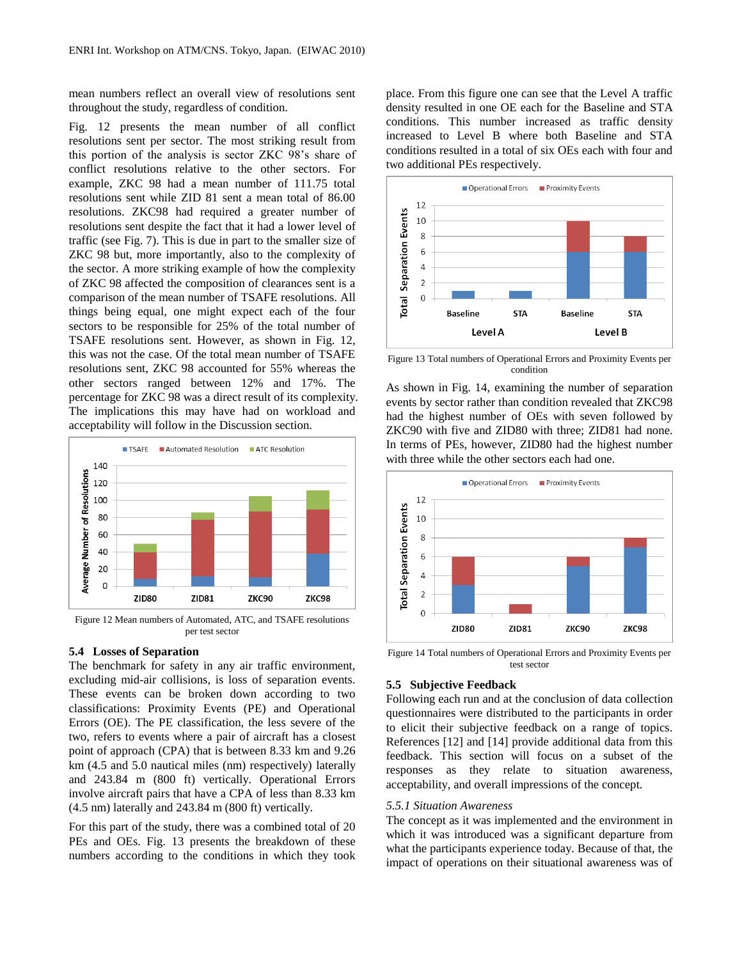mean numbers reflect an overall view of resolutions sent throughout the study, regardless of condition.

Fig. 12 presents the mean number of all conflict resolutions sent per sector. The most striking result from this portion of the analysis is sector ZKC 98's share of conflict resolutions relative to the other sectors. For example, ZKC 98 had a mean number of 111.75 total resolutions sent while ZID 81 sent a mean total of 86.00 resolutions. ZKC98 had required a greater number of resolutions sent despite the fact that it had a lower level of traffic (see Fig. 7). This is due in part to the smaller size of ZKC 98 but, more importantly, also to the complexity of the sector. A more striking example of how the complexity of ZKC 98 affected the composition of clearances sent is a comparison of the mean number of TSAFE resolutions. All things being equal, one might expect each of the four sectors to be responsible for 25% of the total number of TSAFE resolutions sent. However, as shown in Fig. 12, this was not the case. Of the total mean number of TSAFE resolutions sent, ZKC 98 accounted for 55% whereas the other sectors ranged between 12% and 17%. The percentage for ZKC 98 was a direct result of its complexity. The implications this may have had on workload and acceptability will follow in the Discussion section.



Figure 12 Mean numbers of Automated, ATC, and TSAFE resolutions per test sector

# **5.4 Losses of Separation**

The benchmark for safety in any air traffic environment, excluding mid-air collisions, is loss of separation events. These events can be broken down according to two classifications: Proximity Events (PE) and Operational Errors (OE). The PE classification, the less severe of the two, refers to events where a pair of aircraft has a closest point of approach (CPA) that is between 8.33 km and 9.26 km (4.5 and 5.0 nautical miles (nm) respectively) laterally and 243.84 m (800 ft) vertically. Operational Errors involve aircraft pairs that have a CPA of less than 8.33 km (4.5 nm) laterally and 243.84 m (800 ft) vertically.

For this part of the study, there was a combined total of 20 PEs and OEs. Fig. 13 presents the breakdown of these numbers according to the conditions in which they took place. From this figure one can see that the Level A traffic density resulted in one OE each for the Baseline and STA conditions. This number increased as traffic density increased to Level B where both Baseline and STA conditions resulted in a total of six OEs each with four and two additional PEs respectively.



Figure 13 Total numbers of Operational Errors and Proximity Events per condition

As shown in Fig. 14, examining the number of separation events by sector rather than condition revealed that ZKC98 had the highest number of OEs with seven followed by ZKC90 with five and ZID80 with three; ZID81 had none. In terms of PEs, however, ZID80 had the highest number with three while the other sectors each had one.



Figure 14 Total numbers of Operational Errors and Proximity Events per test sector

### **5.5 Subjective Feedback**

Following each run and at the conclusion of data collection questionnaires were distributed to the participants in order to elicit their subjective feedback on a range of topics. References [12] and [14] provide additional data from this feedback. This section will focus on a subset of the responses as they relate to situation awareness, acceptability, and overall impressions of the concept.

#### *5.5.1 Situation Awareness*

The concept as it was implemented and the environment in which it was introduced was a significant departure from what the participants experience today. Because of that, the impact of operations on their situational awareness was of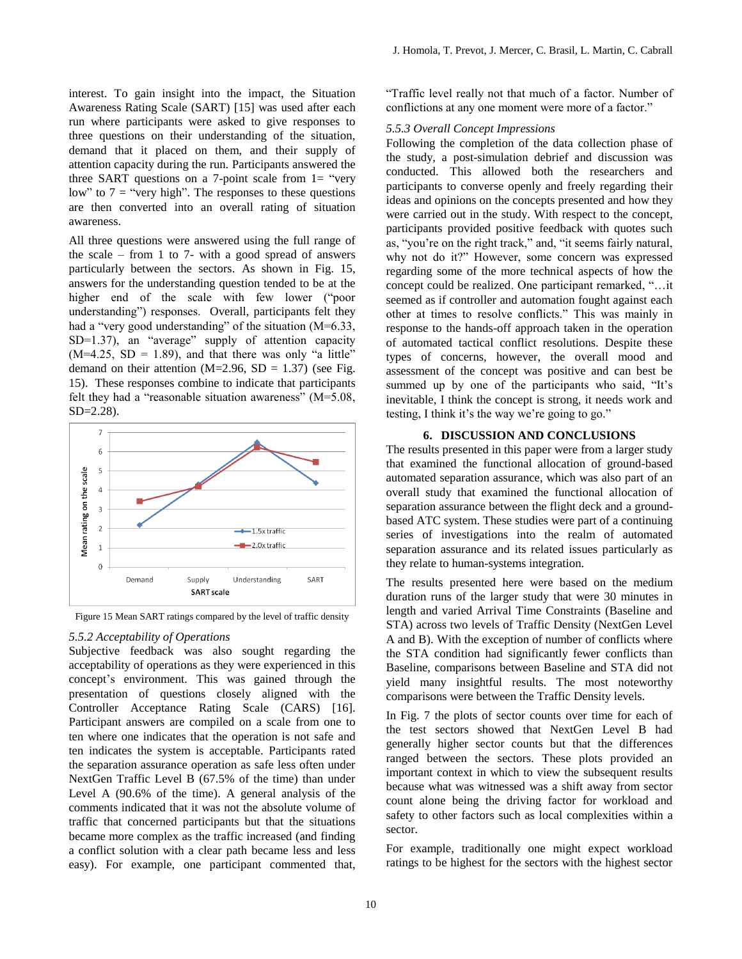interest. To gain insight into the impact, the Situation Awareness Rating Scale (SART) [15] was used after each run where participants were asked to give responses to three questions on their understanding of the situation, demand that it placed on them, and their supply of attention capacity during the run. Participants answered the three SART questions on a 7-point scale from  $1=$  "very" low" to  $7 =$  "very high". The responses to these questions are then converted into an overall rating of situation awareness.

All three questions were answered using the full range of the scale – from 1 to 7- with a good spread of answers particularly between the sectors. As shown in Fig. 15, answers for the understanding question tended to be at the higher end of the scale with few lower ("poor understanding") responses. Overall, participants felt they had a "very good understanding" of the situation (M=6.33, SD=1.37), an "average" supply of attention capacity  $(M=4.25, SD = 1.89)$ , and that there was only "a little" demand on their attention ( $M=2.96$ ,  $SD = 1.37$ ) (see Fig. 15). These responses combine to indicate that participants felt they had a "reasonable situation awareness" (M=5.08, SD=2.28).



Figure 15 Mean SART ratings compared by the level of traffic density

#### *5.5.2 Acceptability of Operations*

Subjective feedback was also sought regarding the acceptability of operations as they were experienced in this concept's environment. This was gained through the presentation of questions closely aligned with the Controller Acceptance Rating Scale (CARS) [16]. Participant answers are compiled on a scale from one to ten where one indicates that the operation is not safe and ten indicates the system is acceptable. Participants rated the separation assurance operation as safe less often under NextGen Traffic Level B (67.5% of the time) than under Level A (90.6% of the time). A general analysis of the comments indicated that it was not the absolute volume of traffic that concerned participants but that the situations became more complex as the traffic increased (and finding a conflict solution with a clear path became less and less easy). For example, one participant commented that,

"Traffic level really not that much of a factor. Number of conflictions at any one moment were more of a factor."

## *5.5.3 Overall Concept Impressions*

Following the completion of the data collection phase of the study, a post-simulation debrief and discussion was conducted. This allowed both the researchers and participants to converse openly and freely regarding their ideas and opinions on the concepts presented and how they were carried out in the study. With respect to the concept, participants provided positive feedback with quotes such as, "you're on the right track," and, "it seems fairly natural, why not do it?" However, some concern was expressed regarding some of the more technical aspects of how the concept could be realized. One participant remarked, "…it seemed as if controller and automation fought against each other at times to resolve conflicts." This was mainly in response to the hands-off approach taken in the operation of automated tactical conflict resolutions. Despite these types of concerns, however, the overall mood and assessment of the concept was positive and can best be summed up by one of the participants who said, "It's inevitable, I think the concept is strong, it needs work and testing, I think it's the way we're going to go."

#### **6. DISCUSSION AND CONCLUSIONS**

The results presented in this paper were from a larger study that examined the functional allocation of ground-based automated separation assurance, which was also part of an overall study that examined the functional allocation of separation assurance between the flight deck and a groundbased ATC system. These studies were part of a continuing series of investigations into the realm of automated separation assurance and its related issues particularly as they relate to human-systems integration.

The results presented here were based on the medium duration runs of the larger study that were 30 minutes in length and varied Arrival Time Constraints (Baseline and STA) across two levels of Traffic Density (NextGen Level A and B). With the exception of number of conflicts where the STA condition had significantly fewer conflicts than Baseline, comparisons between Baseline and STA did not yield many insightful results. The most noteworthy comparisons were between the Traffic Density levels.

In Fig. 7 the plots of sector counts over time for each of the test sectors showed that NextGen Level B had generally higher sector counts but that the differences ranged between the sectors. These plots provided an important context in which to view the subsequent results because what was witnessed was a shift away from sector count alone being the driving factor for workload and safety to other factors such as local complexities within a sector.

For example, traditionally one might expect workload ratings to be highest for the sectors with the highest sector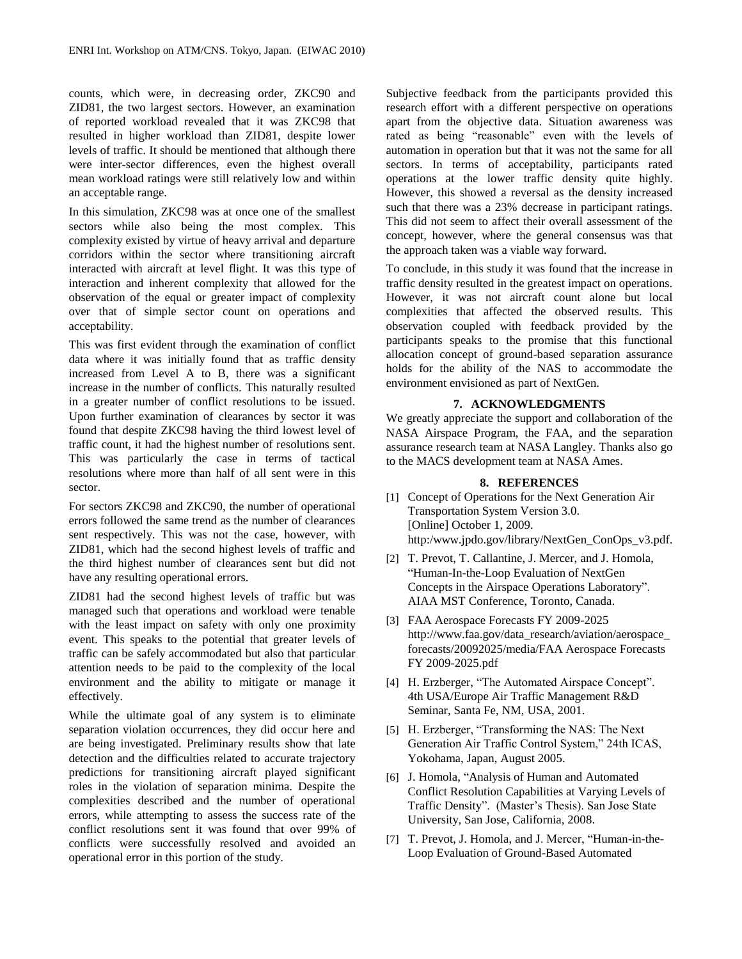counts, which were, in decreasing order, ZKC90 and ZID81, the two largest sectors. However, an examination of reported workload revealed that it was ZKC98 that resulted in higher workload than ZID81, despite lower levels of traffic. It should be mentioned that although there were inter-sector differences, even the highest overall mean workload ratings were still relatively low and within an acceptable range.

In this simulation, ZKC98 was at once one of the smallest sectors while also being the most complex. This complexity existed by virtue of heavy arrival and departure corridors within the sector where transitioning aircraft interacted with aircraft at level flight. It was this type of interaction and inherent complexity that allowed for the observation of the equal or greater impact of complexity over that of simple sector count on operations and acceptability.

This was first evident through the examination of conflict data where it was initially found that as traffic density increased from Level A to B, there was a significant increase in the number of conflicts. This naturally resulted in a greater number of conflict resolutions to be issued. Upon further examination of clearances by sector it was found that despite ZKC98 having the third lowest level of traffic count, it had the highest number of resolutions sent. This was particularly the case in terms of tactical resolutions where more than half of all sent were in this sector.

For sectors ZKC98 and ZKC90, the number of operational errors followed the same trend as the number of clearances sent respectively. This was not the case, however, with ZID81, which had the second highest levels of traffic and the third highest number of clearances sent but did not have any resulting operational errors.

ZID81 had the second highest levels of traffic but was managed such that operations and workload were tenable with the least impact on safety with only one proximity event. This speaks to the potential that greater levels of traffic can be safely accommodated but also that particular attention needs to be paid to the complexity of the local environment and the ability to mitigate or manage it effectively.

While the ultimate goal of any system is to eliminate separation violation occurrences, they did occur here and are being investigated. Preliminary results show that late detection and the difficulties related to accurate trajectory predictions for transitioning aircraft played significant roles in the violation of separation minima. Despite the complexities described and the number of operational errors, while attempting to assess the success rate of the conflict resolutions sent it was found that over 99% of conflicts were successfully resolved and avoided an operational error in this portion of the study.

Subjective feedback from the participants provided this research effort with a different perspective on operations apart from the objective data. Situation awareness was rated as being "reasonable" even with the levels of automation in operation but that it was not the same for all sectors. In terms of acceptability, participants rated operations at the lower traffic density quite highly. However, this showed a reversal as the density increased such that there was a 23% decrease in participant ratings. This did not seem to affect their overall assessment of the concept, however, where the general consensus was that the approach taken was a viable way forward.

To conclude, in this study it was found that the increase in traffic density resulted in the greatest impact on operations. However, it was not aircraft count alone but local complexities that affected the observed results. This observation coupled with feedback provided by the participants speaks to the promise that this functional allocation concept of ground-based separation assurance holds for the ability of the NAS to accommodate the environment envisioned as part of NextGen.

### **7. ACKNOWLEDGMENTS**

We greatly appreciate the support and collaboration of the NASA Airspace Program, the FAA, and the separation assurance research team at NASA Langley. Thanks also go to the MACS development team at NASA Ames.

#### **8. REFERENCES**

- [1] Concept of Operations for the Next Generation Air Transportation System Version 3.0. [Online] October 1, 2009. http:/www.jpdo.gov/library/NextGen\_ConOps\_v3.pdf.
- [2] T. Prevot, T. Callantine, J. Mercer, and J. Homola, "Human-In-the-Loop Evaluation of NextGen Concepts in the Airspace Operations Laboratory". AIAA MST Conference, Toronto, Canada.
- [3] FAA Aerospace Forecasts FY 2009-2025 http://www.faa.gov/data\_research/aviation/aerospace\_ forecasts/20092025/media/FAA Aerospace Forecasts FY 2009-2025.pdf
- [4] H. Erzberger, "The Automated Airspace Concept". 4th USA/Europe Air Traffic Management R&D Seminar, Santa Fe, NM, USA, 2001.
- [5] H. Erzberger, "Transforming the NAS: The Next Generation Air Traffic Control System," 24th ICAS, Yokohama, Japan, August 2005.
- [6] J. Homola, "Analysis of Human and Automated Conflict Resolution Capabilities at Varying Levels of Traffic Density". (Master's Thesis). San Jose State University, San Jose, California, 2008.
- [7] T. Prevot, J. Homola, and J. Mercer, "Human-in-the-Loop Evaluation of Ground-Based Automated